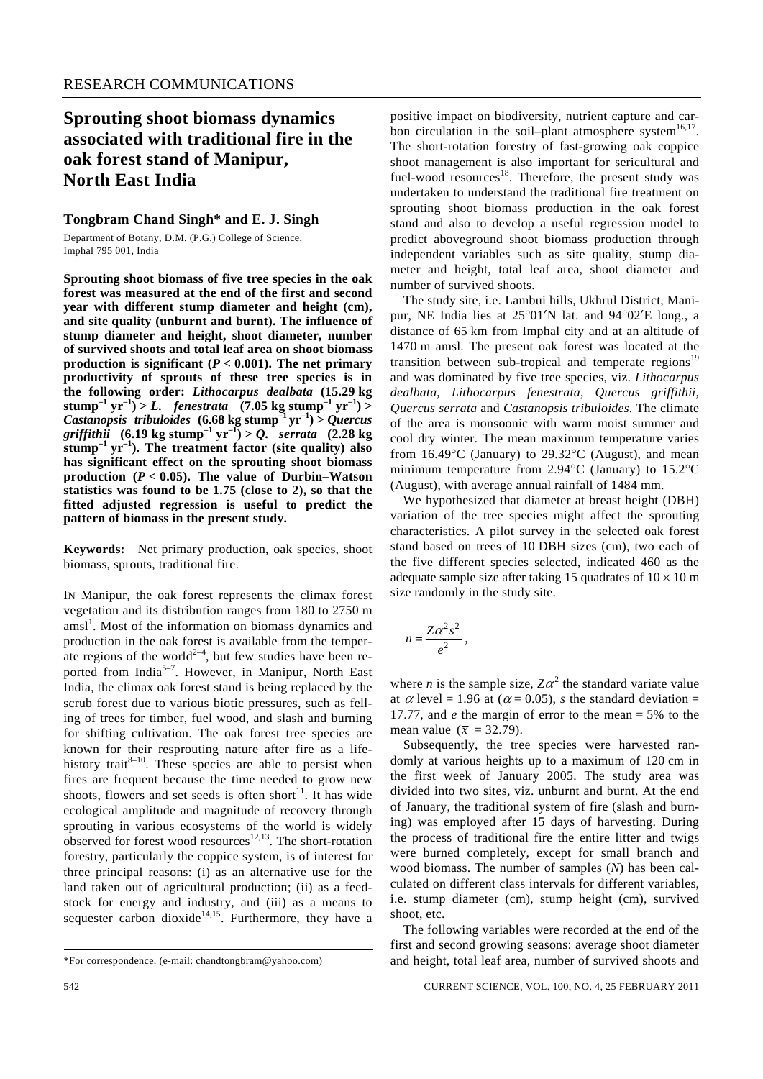## **Sprouting shoot biomass dynamics associated with traditional fire in the oak forest stand of Manipur, North East India**

#### **Tongbram Chand Singh\* and E. J. Singh**

Department of Botany, D.M. (P.G.) College of Science, Imphal 795 001, India

**Sprouting shoot biomass of five tree species in the oak forest was measured at the end of the first and second year with different stump diameter and height (cm), and site quality (unburnt and burnt). The influence of stump diameter and height, shoot diameter, number of survived shoots and total leaf area on shoot biomass production is significant (** $P < 0.001$ **). The net primary productivity of sprouts of these tree species is in the following order:** *Lithocarpus dealbata* **(15.29 kg**   $\text{stump}^{-1} \text{ yr}^{-1}$  > *L. fenestrata* (7.05 kg stump<sup>-1</sup> vr<sup>-1</sup>) > *Castanopsis tribuloides*  $(6.68 \text{ kg} \text{ stump}^{-1} \text{ yr}^{-1}) >$  *Quercus*  $griffithii$  (6.19 kg stump<sup>-1</sup> yr<sup>-1</sup>) > *Q*. serrata (2.28 kg) **stump–1 yr–1). The treatment factor (site quality) also has significant effect on the sprouting shoot biomass**  production  $(P < 0.05)$ . The value of Durbin–Watson **statistics was found to be 1.75 (close to 2), so that the fitted adjusted regression is useful to predict the pattern of biomass in the present study.** 

**Keywords:** Net primary production, oak species, shoot biomass, sprouts, traditional fire.

IN Manipur, the oak forest represents the climax forest vegetation and its distribution ranges from 180 to 2750 m amsl<sup>1</sup>. Most of the information on biomass dynamics and production in the oak forest is available from the temperate regions of the world<sup>2-4</sup>, but few studies have been reported from India<sup>5-7</sup>. However, in Manipur, North East India, the climax oak forest stand is being replaced by the scrub forest due to various biotic pressures, such as felling of trees for timber, fuel wood, and slash and burning for shifting cultivation. The oak forest tree species are known for their resprouting nature after fire as a lifehistory trait<sup>8–10</sup>. These species are able to persist when fires are frequent because the time needed to grow new shoots, flowers and set seeds is often short<sup>11</sup>. It has wide ecological amplitude and magnitude of recovery through sprouting in various ecosystems of the world is widely observed for forest wood resources<sup>12,13</sup>. The short-rotation forestry, particularly the coppice system, is of interest for three principal reasons: (i) as an alternative use for the land taken out of agricultural production; (ii) as a feedstock for energy and industry, and (iii) as a means to sequester carbon dioxide<sup>14,15</sup>. Furthermore, they have a

positive impact on biodiversity, nutrient capture and carbon circulation in the soil–plant atmosphere system $16,17$ . The short-rotation forestry of fast-growing oak coppice shoot management is also important for sericultural and fuel-wood resources<sup>18</sup>. Therefore, the present study was undertaken to understand the traditional fire treatment on sprouting shoot biomass production in the oak forest stand and also to develop a useful regression model to predict aboveground shoot biomass production through independent variables such as site quality, stump diameter and height, total leaf area, shoot diameter and number of survived shoots.

 The study site, i.e. Lambui hills, Ukhrul District, Manipur, NE India lies at 25°01′N lat. and 94°02′E long., a distance of 65 km from Imphal city and at an altitude of 1470 m amsl. The present oak forest was located at the transition between sub-tropical and temperate regions<sup>19</sup> and was dominated by five tree species, viz. *Lithocarpus dealbata*, *Lithocarpus fenestrata*, *Quercus griffithii*, *Quercus serrata* and *Castanopsis tribuloides*. The climate of the area is monsoonic with warm moist summer and cool dry winter. The mean maximum temperature varies from 16.49°C (January) to 29.32°C (August), and mean minimum temperature from 2.94°C (January) to 15.2°C (August), with average annual rainfall of 1484 mm.

 We hypothesized that diameter at breast height (DBH) variation of the tree species might affect the sprouting characteristics. A pilot survey in the selected oak forest stand based on trees of 10 DBH sizes (cm), two each of the five different species selected, indicated 460 as the adequate sample size after taking 15 quadrates of  $10 \times 10$  m size randomly in the study site.

$$
n=\frac{Z\alpha^2s^2}{e^2}\,,
$$

where *n* is the sample size,  $Z\alpha^2$  the standard variate value at  $\alpha$  level = 1.96 at ( $\alpha$  = 0.05), *s* the standard deviation = 17.77, and *e* the margin of error to the mean = 5% to the mean value ( $\bar{x}$  = 32.79).

 Subsequently, the tree species were harvested randomly at various heights up to a maximum of 120 cm in the first week of January 2005. The study area was divided into two sites, viz. unburnt and burnt. At the end of January, the traditional system of fire (slash and burning) was employed after 15 days of harvesting. During the process of traditional fire the entire litter and twigs were burned completely, except for small branch and wood biomass. The number of samples (*N*) has been calculated on different class intervals for different variables, i.e. stump diameter (cm), stump height (cm), survived shoot, etc.

 The following variables were recorded at the end of the first and second growing seasons: average shoot diameter and height, total leaf area, number of survived shoots and

<sup>\*</sup>For correspondence. (e-mail: chandtongbram@yahoo.com)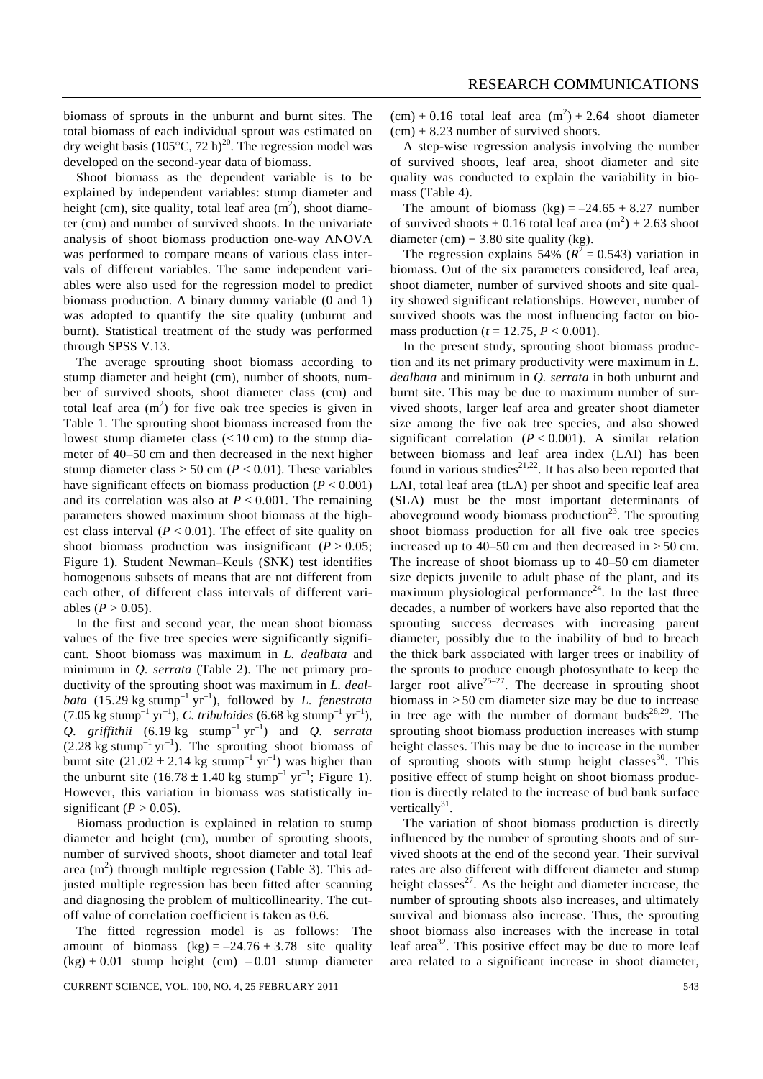biomass of sprouts in the unburnt and burnt sites. The total biomass of each individual sprout was estimated on dry weight basis (105 $\degree$ C, 72 h)<sup>20</sup>. The regression model was developed on the second-year data of biomass.

 Shoot biomass as the dependent variable is to be explained by independent variables: stump diameter and height (cm), site quality, total leaf area  $(m^2)$ , shoot diameter (cm) and number of survived shoots. In the univariate analysis of shoot biomass production one-way ANOVA was performed to compare means of various class intervals of different variables. The same independent variables were also used for the regression model to predict biomass production. A binary dummy variable (0 and 1) was adopted to quantify the site quality (unburnt and burnt). Statistical treatment of the study was performed through SPSS V.13.

 The average sprouting shoot biomass according to stump diameter and height (cm), number of shoots, number of survived shoots, shoot diameter class (cm) and total leaf area  $(m^2)$  for five oak tree species is given in Table 1. The sprouting shoot biomass increased from the lowest stump diameter class  $(< 10$  cm) to the stump diameter of 40–50 cm and then decreased in the next higher stump diameter class  $> 50$  cm ( $P < 0.01$ ). These variables have significant effects on biomass production  $(P < 0.001)$ and its correlation was also at  $P < 0.001$ . The remaining parameters showed maximum shoot biomass at the highest class interval  $(P < 0.01)$ . The effect of site quality on shoot biomass production was insignificant  $(P > 0.05)$ ; Figure 1). Student Newman–Keuls (SNK) test identifies homogenous subsets of means that are not different from each other, of different class intervals of different variables ( $P > 0.05$ ).

 In the first and second year, the mean shoot biomass values of the five tree species were significantly significant. Shoot biomass was maximum in *L. dealbata* and minimum in *Q. serrata* (Table 2). The net primary productivity of the sprouting shoot was maximum in *L. dealbata* (15.29 kg stump<sup>-1</sup> yr<sup>-1</sup>), followed by *L. fenestrata* (7.05 kg stump<sup>-1</sup> yr<sup>-1</sup>), *C. tribuloides* (6.68 kg stump<sup>-1</sup> yr<sup>-1</sup>), *Q. griffithii*  $(6.19 \text{ kg} \times \text{stump}^{-1} \text{ yr}^{-1})$  and *Q. serrata*  $(2.28 \text{ kg} \text{ stump}^{-1} \text{ yr}^{-1})$ . The sprouting shoot biomass of burnt site  $(21.02 \pm 2.14 \text{ kg} \text{ stump}^{-1} \text{ yr}^{-1})$  was higher than the unburnt site (16.78  $\pm$  1.40 kg stump<sup>-1</sup> yr<sup>-1</sup>; Figure 1). However, this variation in biomass was statistically insignificant  $(P > 0.05)$ .

 Biomass production is explained in relation to stump diameter and height (cm), number of sprouting shoots, number of survived shoots, shoot diameter and total leaf area  $(m^2)$  through multiple regression (Table 3). This adjusted multiple regression has been fitted after scanning and diagnosing the problem of multicollinearity. The cutoff value of correlation coefficient is taken as 0.6.

 The fitted regression model is as follows: The amount of biomass  $(kg) = -24.76 + 3.78$  site quality  $(kg) + 0.01$  stump height (cm)  $-0.01$  stump diameter

 $(cm) + 0.16$  total leaf area  $(m^2) + 2.64$  shoot diameter  $(cm) + 8.23$  number of survived shoots.

 A step-wise regression analysis involving the number of survived shoots, leaf area, shoot diameter and site quality was conducted to explain the variability in biomass (Table 4).

The amount of biomass  $(kg) = -24.65 + 8.27$  number of survived shoots  $+0.16$  total leaf area  $(m^2) + 2.63$  shoot diameter  $(cm) + 3.80$  site quality (kg).

The regression explains 54%  $(R^2 = 0.543)$  variation in biomass. Out of the six parameters considered, leaf area, shoot diameter, number of survived shoots and site quality showed significant relationships. However, number of survived shoots was the most influencing factor on biomass production ( $t = 12.75$ ,  $P < 0.001$ ).

 In the present study, sprouting shoot biomass production and its net primary productivity were maximum in *L. dealbata* and minimum in *Q. serrata* in both unburnt and burnt site. This may be due to maximum number of survived shoots, larger leaf area and greater shoot diameter size among the five oak tree species, and also showed significant correlation  $(P < 0.001)$ . A similar relation between biomass and leaf area index (LAI) has been found in various studies<sup>21,22</sup>. It has also been reported that LAI, total leaf area (tLA) per shoot and specific leaf area (SLA) must be the most important determinants of aboveground woody biomass production $2<sup>3</sup>$ . The sprouting shoot biomass production for all five oak tree species increased up to 40–50 cm and then decreased in  $> 50$  cm. The increase of shoot biomass up to 40–50 cm diameter size depicts juvenile to adult phase of the plant, and its maximum physiological performance<sup>24</sup>. In the last three decades, a number of workers have also reported that the sprouting success decreases with increasing parent diameter, possibly due to the inability of bud to breach the thick bark associated with larger trees or inability of the sprouts to produce enough photosynthate to keep the larger root alive<sup>25–27</sup>. The decrease in sprouting shoot biomass in > 50 cm diameter size may be due to increase in tree age with the number of dormant buds<sup>28,29</sup>. The sprouting shoot biomass production increases with stump height classes. This may be due to increase in the number of sprouting shoots with stump height classes<sup>30</sup>. This positive effect of stump height on shoot biomass production is directly related to the increase of bud bank surface vertically<sup>31</sup>.

 The variation of shoot biomass production is directly influenced by the number of sprouting shoots and of survived shoots at the end of the second year. Their survival rates are also different with different diameter and stump height classes $^{27}$ . As the height and diameter increase, the number of sprouting shoots also increases, and ultimately survival and biomass also increase. Thus, the sprouting shoot biomass also increases with the increase in total leaf area<sup>32</sup>. This positive effect may be due to more leaf area related to a significant increase in shoot diameter,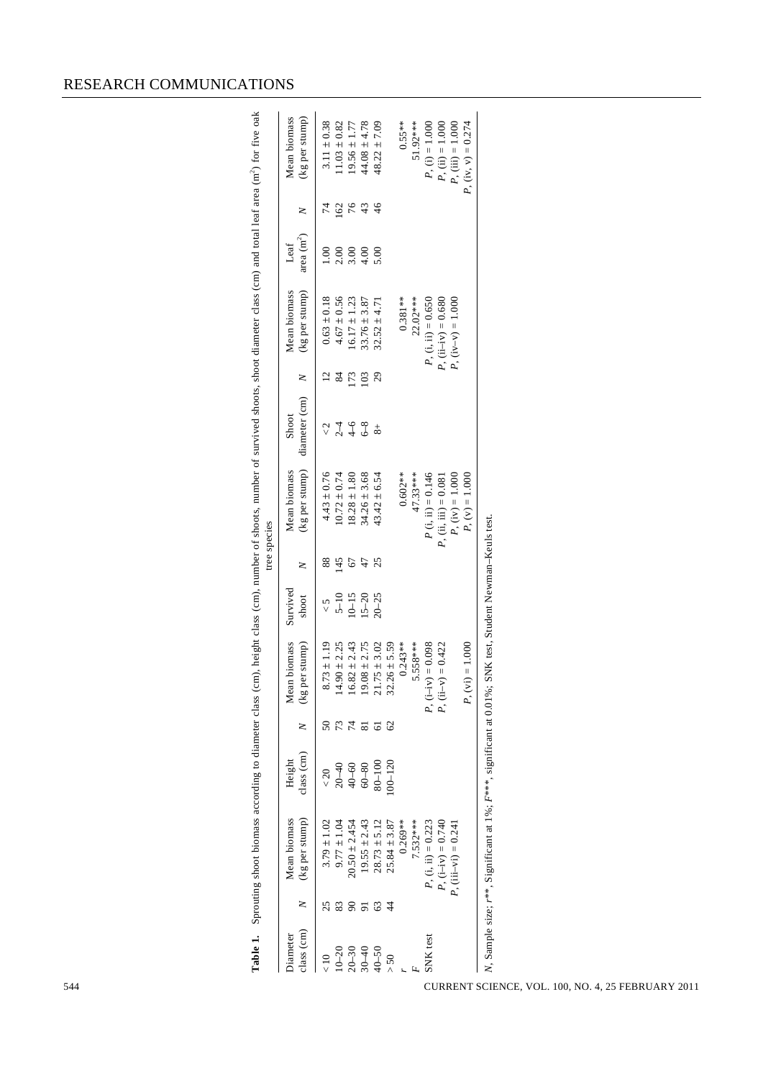|                                                    | z               | Mean biomass<br>(kg per stump)<br>$9.77 \pm 1.04$<br>$19.55 \pm 2.43$<br>$20.50 \pm 2.454$<br>$28.73 \pm 5.12$<br>$3.79 \pm 1.02$ | class (cm)<br>Height<br>$60 - 80$<br>$20 - 40$<br>$40 - 60$<br>$\!<\!20$ | 50<br>$74$<br>z     | $19.08 \pm 2.75$<br>Mean biomass<br>$14.90 \pm 2.25$<br>$16.82 \pm 2.43$<br>(kg per stump)<br>$73 \pm 1.19$<br>∞ं | Survived<br>$5 - 10$<br>shoot        | $88\,$<br>z | Mean biomass            |                        |    |                                |                          | z             | Mean biomass         |
|----------------------------------------------------|-----------------|-----------------------------------------------------------------------------------------------------------------------------------|--------------------------------------------------------------------------|---------------------|-------------------------------------------------------------------------------------------------------------------|--------------------------------------|-------------|-------------------------|------------------------|----|--------------------------------|--------------------------|---------------|----------------------|
| class (cm)<br>Diameter                             |                 |                                                                                                                                   |                                                                          |                     |                                                                                                                   |                                      |             | (kg per stump)          | diameter (cm)<br>Shoot | z  | Mean biomass<br>(kg per stump) | area $\rm (m^2)$<br>Leaf |               | (kg per stump)       |
| $\leq 10$                                          | 25              |                                                                                                                                   |                                                                          |                     |                                                                                                                   |                                      |             | $4.43 \pm 0.76$         |                        | 12 | $0.63 \pm 0.18$                | 1.00                     | $74$          | $3.11 \pm 0.38$      |
| $10 - 20$                                          | 83              |                                                                                                                                   |                                                                          |                     |                                                                                                                   |                                      | 145         | $10.72 \pm 0.74$        | $rac{2}{1}$            | 84 | $4.67 \pm 0.56$                | 2.00                     | 162           | $11.03 \pm 0.82$     |
| $20 - 30$                                          | $90\,$          |                                                                                                                                   |                                                                          |                     |                                                                                                                   | $10 - 15$                            | $\epsilon$  | $18.28 \pm 1.80$        |                        |    | $16.17 \pm 1.23$               | 3.00                     | 76            | $19.56 \pm 1.77$     |
| $30 - 40$                                          | $\overline{91}$ |                                                                                                                                   |                                                                          | $\overline{\bf 8}1$ |                                                                                                                   | $15 - 20$                            | 47          | $34.26 \pm 3.68$        | $rac{6}{6-8}$          |    | $33.76 \pm 3.87$               | 4.00                     | $\frac{4}{3}$ | $44.08 \pm 4.78$     |
| $40 - 50$                                          | $63\,$          |                                                                                                                                   | $80 - 100$                                                               | $\overline{6}$      | $21.75 \pm 3.02$                                                                                                  | $20 - 25$                            |             | $43.42 \pm 6.54$        | $\overline{8}$         |    | $32.52 \pm 4.71$               | 5.00                     |               | $48.22 \pm 7.09$     |
| $>50$                                              | $\overline{4}$  | $25.84 \pm 3.87$                                                                                                                  | $100 - 120$                                                              | 62                  | $32.26 \pm 5.59$                                                                                                  |                                      |             |                         |                        |    |                                |                          |               |                      |
|                                                    |                 | $0.269**$                                                                                                                         |                                                                          |                     | $0.243**$                                                                                                         |                                      |             | $0.602**$               |                        |    | $0.381**$                      |                          |               | $0.55**$             |
|                                                    |                 | 7.532***                                                                                                                          |                                                                          |                     | 5.558***                                                                                                          |                                      |             | 47.33***                |                        |    | $22.02***$                     |                          |               | 51.92***             |
| SNK test                                           |                 | $P$ , (i, ii) = 0.223                                                                                                             |                                                                          |                     | $P$ , $(i-iv) = 0.098$                                                                                            |                                      |             | $P$ (i, ii) = 0.146     |                        |    | $P$ , (i, ii) = 0.650          |                          |               | $P$ , (i) = 1.000    |
|                                                    |                 | $P, (i-iv) = 0.740$                                                                                                               |                                                                          |                     | $P$ , (ii-v) = 0.422                                                                                              |                                      |             | $P$ , (ii, iii) = 0.081 |                        |    | $P, (i i-i v) = 0.680$         |                          |               | $P, (ii) = 1.000$    |
|                                                    |                 | $P$ , (iii–vi) = 0.241                                                                                                            |                                                                          |                     |                                                                                                                   |                                      |             | $P, (iv) = 1.000$       |                        |    | $P, (iv-v) = 1.000$            |                          |               | $P$ , (iii) = 1.000  |
|                                                    |                 |                                                                                                                                   |                                                                          |                     | $P, (vi) = 1.000$                                                                                                 |                                      |             | $P, (v) = 1.000$        |                        |    |                                |                          |               | $P, (iv, v) = 0.274$ |
| CURRENT SCIENCE, VOL. 100, NO. 4, 25 FEBRUARY 2011 |                 | N, Sample size; $r^{**}$ , Significant at 1%; $F^{***}$ , significant at 0.01%;                                                   |                                                                          |                     |                                                                                                                   | SNK test, Student Newman-Keuls test. |             |                         |                        |    |                                |                          |               |                      |

### RESEARCH COMMUNICATIONS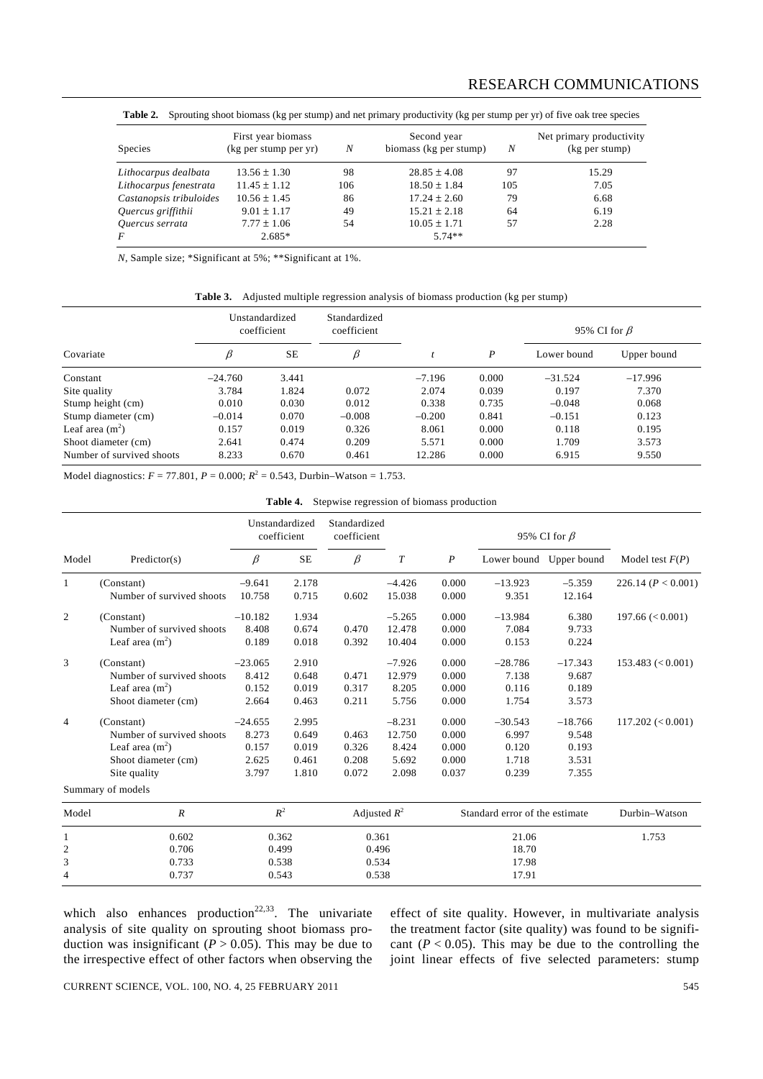| Species                 | First year biomass<br>(kg per stump per yr) | N   | Second year<br>biomass (kg per stump) | N   | Net primary productivity<br>(kg per stump) |  |  |
|-------------------------|---------------------------------------------|-----|---------------------------------------|-----|--------------------------------------------|--|--|
| Lithocarpus dealbata    | $13.56 \pm 1.30$                            | 98  | $28.85 \pm 4.08$                      | 97  | 15.29                                      |  |  |
| Lithocarpus fenestrata  | $11.45 \pm 1.12$                            | 106 | $18.50 \pm 1.84$                      | 105 | 7.05                                       |  |  |
| Castanopsis tribuloides | $10.56 \pm 1.45$                            | 86  | $17.24 \pm 2.60$                      | 79  | 6.68                                       |  |  |
| Quercus griffithii      | $9.01 \pm 1.17$                             | 49  | $15.21 \pm 2.18$                      | 64  | 6.19                                       |  |  |
| Quercus serrata         | $7.77 \pm 1.06$                             | 54  | $10.05 \pm 1.71$                      | 57  | 2.28                                       |  |  |
| F                       | $2.685*$                                    |     | $5.74**$                              |     |                                            |  |  |

Table 2. Sprouting shoot biomass (kg per stump) and net primary productivity (kg per stump per yr) of five oak tree species

*N*, Sample size; \*Significant at 5%; \*\*Significant at 1%.

**Table 3.** Adjusted multiple regression analysis of biomass production (kg per stump)

|                           |           | Unstandardized<br>coefficient | Standardized<br>coefficient |          |       | 95% CI for $\beta$ |             |
|---------------------------|-----------|-------------------------------|-----------------------------|----------|-------|--------------------|-------------|
| Covariate                 | β         | <b>SE</b>                     | β                           |          | P     | Lower bound        | Upper bound |
| Constant                  | $-24.760$ | 3.441                         |                             | $-7.196$ | 0.000 | $-31.524$          | $-17.996$   |
| Site quality              | 3.784     | 1.824                         | 0.072                       | 2.074    | 0.039 | 0.197              | 7.370       |
| Stump height (cm)         | 0.010     | 0.030                         | 0.012                       | 0.338    | 0.735 | $-0.048$           | 0.068       |
| Stump diameter (cm)       | $-0.014$  | 0.070                         | $-0.008$                    | $-0.200$ | 0.841 | $-0.151$           | 0.123       |
| Leaf area $(m2)$          | 0.157     | 0.019                         | 0.326                       | 8.061    | 0.000 | 0.118              | 0.195       |
| Shoot diameter (cm)       | 2.641     | 0.474                         | 0.209                       | 5.571    | 0.000 | 1.709              | 3.573       |
| Number of survived shoots | 8.233     | 0.670                         | 0.461                       | 12.286   | 0.000 | 6.915              | 9.550       |

Model diagnostics:  $F = 77.801$ ,  $P = 0.000$ ;  $R^2 = 0.543$ , Durbin–Watson = 1.753.

|  |  |  |  | <b>Table 4.</b> Stepwise regression of biomass production |
|--|--|--|--|-----------------------------------------------------------|
|--|--|--|--|-----------------------------------------------------------|

|                |                           |           | Unstandardized<br>coefficient | Standardized<br>coefficient |                |                  |                                | 95% CI for $\beta$      |                        |
|----------------|---------------------------|-----------|-------------------------------|-----------------------------|----------------|------------------|--------------------------------|-------------------------|------------------------|
| Model          | Predictor(s)              | β         | <b>SE</b>                     | $\beta$                     | T              | $\boldsymbol{P}$ |                                | Lower bound Upper bound | Model test $F(P)$      |
| 1              | (Constant)                | $-9.641$  | 2.178                         |                             | $-4.426$       | 0.000            | $-13.923$                      | $-5.359$                | 226.14 ( $P < 0.001$ ) |
|                | Number of survived shoots | 10.758    | 0.715                         | 0.602                       | 15.038         | 0.000            | 9.351                          | 12.164                  |                        |
| 2              | (Constant)                | $-10.182$ | 1.934                         |                             | $-5.265$       | 0.000            | $-13.984$                      | 6.380                   | $197.66 \leq 0.001$    |
|                | Number of survived shoots | 8.408     | 0.674                         | 0.470                       | 12.478         | 0.000            | 7.084                          | 9.733                   |                        |
|                | Leaf area $(m2)$          | 0.189     | 0.018                         | 0.392                       | 10.404         | 0.000            | 0.153                          | 0.224                   |                        |
| 3              | (Constant)                | $-23.065$ | 2.910                         |                             | $-7.926$       | 0.000            | $-28.786$                      | $-17.343$               | 153.483 (< 0.001)      |
|                | Number of survived shoots | 8.412     | 0.648                         | 0.471                       | 12.979         | 0.000            | 7.138                          | 9.687                   |                        |
|                | Leaf area $(m2)$          | 0.152     | 0.019                         | 0.317                       | 8.205          | 0.000            | 0.116                          | 0.189                   |                        |
|                | Shoot diameter (cm)       | 2.664     | 0.463                         | 0.211                       | 5.756          | 0.000            | 1.754                          | 3.573                   |                        |
| 4              | (Constant)                | $-24.655$ | 2.995                         |                             | $-8.231$       | 0.000            | $-30.543$                      | $-18.766$               | $117.202 \leq 0.001$   |
|                | Number of survived shoots | 8.273     | 0.649                         | 0.463                       | 12.750         | 0.000            | 6.997                          | 9.548                   |                        |
|                | Leaf area $(m2)$          | 0.157     | 0.019                         | 0.326                       | 8.424          | 0.000            | 0.120                          | 0.193                   |                        |
|                | Shoot diameter (cm)       | 2.625     | 0.461                         | 0.208                       | 5.692          | 0.000            | 1.718                          | 3.531                   |                        |
|                | Site quality              | 3.797     | 1.810                         | 0.072                       | 2.098          | 0.037            | 0.239                          | 7.355                   |                        |
|                | Summary of models         |           |                               |                             |                |                  |                                |                         |                        |
| Model          | $\boldsymbol{R}$          |           | $R^2$                         |                             | Adjusted $R^2$ |                  | Standard error of the estimate |                         | Durbin-Watson          |
| 1              | 0.602<br>0.362            |           |                               |                             | 0.361          |                  | 21.06                          |                         | 1.753                  |
| $\overline{2}$ | 0.706                     | 0.499     |                               |                             | 0.496          |                  | 18.70                          |                         |                        |
| 3              | 0.733                     | 0.538     |                               |                             | 0.534          |                  | 17.98                          |                         |                        |
| $\overline{4}$ | 0.737                     | 0.543     |                               |                             | 0.538          |                  | 17.91                          |                         |                        |

which also enhances production<sup>22,33</sup>. The univariate analysis of site quality on sprouting shoot biomass production was insignificant ( $P > 0.05$ ). This may be due to the irrespective effect of other factors when observing the

effect of site quality. However, in multivariate analysis the treatment factor (site quality) was found to be significant  $(P < 0.05)$ . This may be due to the controlling the joint linear effects of five selected parameters: stump

CURRENT SCIENCE, VOL. 100, NO. 4, 25 FEBRUARY 2011 545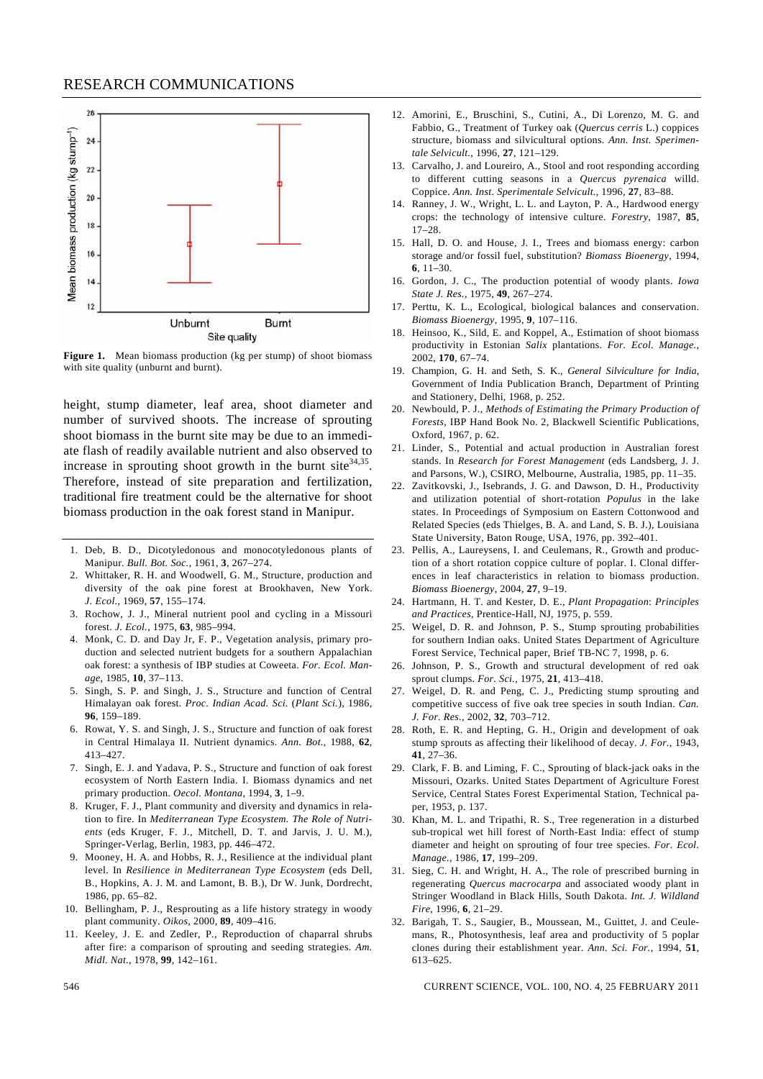

**Figure 1.** Mean biomass production (kg per stump) of shoot biomass with site quality (unburnt and burnt).

height, stump diameter, leaf area, shoot diameter and number of survived shoots. The increase of sprouting shoot biomass in the burnt site may be due to an immediate flash of readily available nutrient and also observed to increase in sprouting shoot growth in the burnt site  $34,35$ . Therefore, instead of site preparation and fertilization, traditional fire treatment could be the alternative for shoot biomass production in the oak forest stand in Manipur.

- 1. Deb, B. D., Dicotyledonous and monocotyledonous plants of Manipur. *Bull. Bot. Soc.*, 1961, **3**, 267–274.
- 2. Whittaker, R. H. and Woodwell, G. M., Structure, production and diversity of the oak pine forest at Brookhaven, New York. *J. Ecol*., 1969, **57**, 155–174.
- 3. Rochow, J. J., Mineral nutrient pool and cycling in a Missouri forest. *J. Ecol.*, 1975, **63**, 985–994.
- 4. Monk, C. D. and Day Jr, F. P., Vegetation analysis, primary production and selected nutrient budgets for a southern Appalachian oak forest: a synthesis of IBP studies at Coweeta. *For. Ecol. Manage*, 1985, **10**, 37–113.
- 5. Singh, S. P. and Singh, J. S., Structure and function of Central Himalayan oak forest. *Proc. Indian Acad. Sci.* (*Plant Sci.*), 1986, **96**, 159–189.
- 6. Rowat, Y. S. and Singh, J. S., Structure and function of oak forest in Central Himalaya II. Nutrient dynamics. *Ann. Bot.*, 1988, **62**, 413–427.
- 7. Singh, E. J. and Yadava, P. S., Structure and function of oak forest ecosystem of North Eastern India. I. Biomass dynamics and net primary production. *Oecol. Montana*, 1994, **3**, 1–9.
- 8. Kruger, F. J., Plant community and diversity and dynamics in relation to fire. In *Mediterranean Type Ecosystem. The Role of Nutrients* (eds Kruger, F. J., Mitchell, D. T. and Jarvis, J. U. M.), Springer-Verlag, Berlin, 1983, pp. 446–472.
- 9. Mooney, H. A. and Hobbs, R. J., Resilience at the individual plant level. In *Resilience in Mediterranean Type Ecosystem* (eds Dell, B., Hopkins, A. J. M. and Lamont, B. B.), Dr W. Junk, Dordrecht, 1986, pp. 65–82.
- 10. Bellingham, P. J., Resprouting as a life history strategy in woody plant community. *Oikos*, 2000, **89**, 409–416.
- 11. Keeley, J. E. and Zedler, P., Reproduction of chaparral shrubs after fire: a comparison of sprouting and seeding strategies. *Am. Midl. Nat.*, 1978, **99**, 142–161.
- 12. Amorini, E., Bruschini, S., Cutini, A., Di Lorenzo, M. G. and Fabbio, G., Treatment of Turkey oak (*Quercus cerris* L.) coppices structure, biomass and silvicultural options. *Ann. Inst. Sperimentale Selvicult.*, 1996, **27**, 121–129.
- 13. Carvalho, J. and Loureiro, A., Stool and root responding according to different cutting seasons in a *Quercus pyrenaica* willd. Coppice. *Ann. Inst. Sperimentale Selvicult.*, 1996, **27**, 83–88.
- 14. Ranney, J. W., Wright, L. L. and Layton, P. A., Hardwood energy crops: the technology of intensive culture. *Forestry*, 1987, **85**, 17–28.
- 15. Hall, D. O. and House, J. I., Trees and biomass energy: carbon storage and/or fossil fuel, substitution? *Biomass Bioenergy*, 1994, **6**, 11–30.
- 16. Gordon, J. C., The production potential of woody plants. *Iowa State J. Res.*, 1975, **49**, 267–274.
- 17. Perttu, K. L., Ecological, biological balances and conservation. *Biomass Bioenergy*, 1995, **9**, 107–116.
- 18. Heinsoo, K., Sild, E. and Koppel, A., Estimation of shoot biomass productivity in Estonian *Salix* plantations. *For. Ecol. Manage.*, 2002, **170**, 67–74.
- 19. Champion, G. H. and Seth, S. K., *General Silviculture for India*, Government of India Publication Branch, Department of Printing and Stationery, Delhi, 1968, p. 252.
- 20. Newbould, P. J., *Methods of Estimating the Primary Production of Forests*, IBP Hand Book No. 2, Blackwell Scientific Publications, Oxford, 1967, p. 62.
- 21. Linder, S., Potential and actual production in Australian forest stands. In *Research for Forest Management* (eds Landsberg, J. J. and Parsons, W.), CSIRO, Melbourne, Australia, 1985, pp. 11–35.
- 22. Zavitkovski, J., Isebrands, J. G. and Dawson, D. H., Productivity and utilization potential of short-rotation *Populus* in the lake states. In Proceedings of Symposium on Eastern Cottonwood and Related Species (eds Thielges, B. A. and Land, S. B. J.), Louisiana State University, Baton Rouge, USA, 1976, pp. 392–401.
- 23. Pellis, A., Laureysens, I. and Ceulemans, R., Growth and production of a short rotation coppice culture of poplar. I. Clonal differences in leaf characteristics in relation to biomass production. *Biomass Bioenergy*, 2004, **27**, 9–19.
- 24. Hartmann, H. T. and Kester, D. E., *Plant Propagation*: *Principles and Practices*, Prentice-Hall, NJ, 1975, p. 559.
- 25. Weigel, D. R. and Johnson, P. S., Stump sprouting probabilities for southern Indian oaks. United States Department of Agriculture Forest Service, Technical paper, Brief TB-NC 7, 1998, p. 6.
- 26. Johnson, P. S., Growth and structural development of red oak sprout clumps. *For. Sci.*, 1975, **21**, 413–418.
- 27. Weigel, D. R. and Peng, C. J., Predicting stump sprouting and competitive success of five oak tree species in south Indian. *Can. J. For. Res.*, 2002, **32**, 703–712.
- 28. Roth, E. R. and Hepting, G. H., Origin and development of oak stump sprouts as affecting their likelihood of decay. *J. For.*, 1943, **41**, 27–36.
- 29. Clark, F. B. and Liming, F. C., Sprouting of black-jack oaks in the Missouri, Ozarks. United States Department of Agriculture Forest Service, Central States Forest Experimental Station, Technical paper, 1953, p. 137.
- 30. Khan, M. L. and Tripathi, R. S., Tree regeneration in a disturbed sub-tropical wet hill forest of North-East India: effect of stump diameter and height on sprouting of four tree species. *For. Ecol. Manage.*, 1986, **17**, 199–209.
- 31. Sieg, C. H. and Wright, H. A., The role of prescribed burning in regenerating *Quercus macrocarpa* and associated woody plant in Stringer Woodland in Black Hills, South Dakota. *Int. J. Wildland Fire*, 1996, **6**, 21–29.
- 32. Barigah, T. S., Saugier, B., Moussean, M., Guittet, J. and Ceulemans, R., Photosynthesis, leaf area and productivity of 5 poplar clones during their establishment year. *Ann. Sci. For.*, 1994, **51**, 613–625.

546 CURRENT SCIENCE, VOL. 100, NO. 4, 25 FEBRUARY 2011